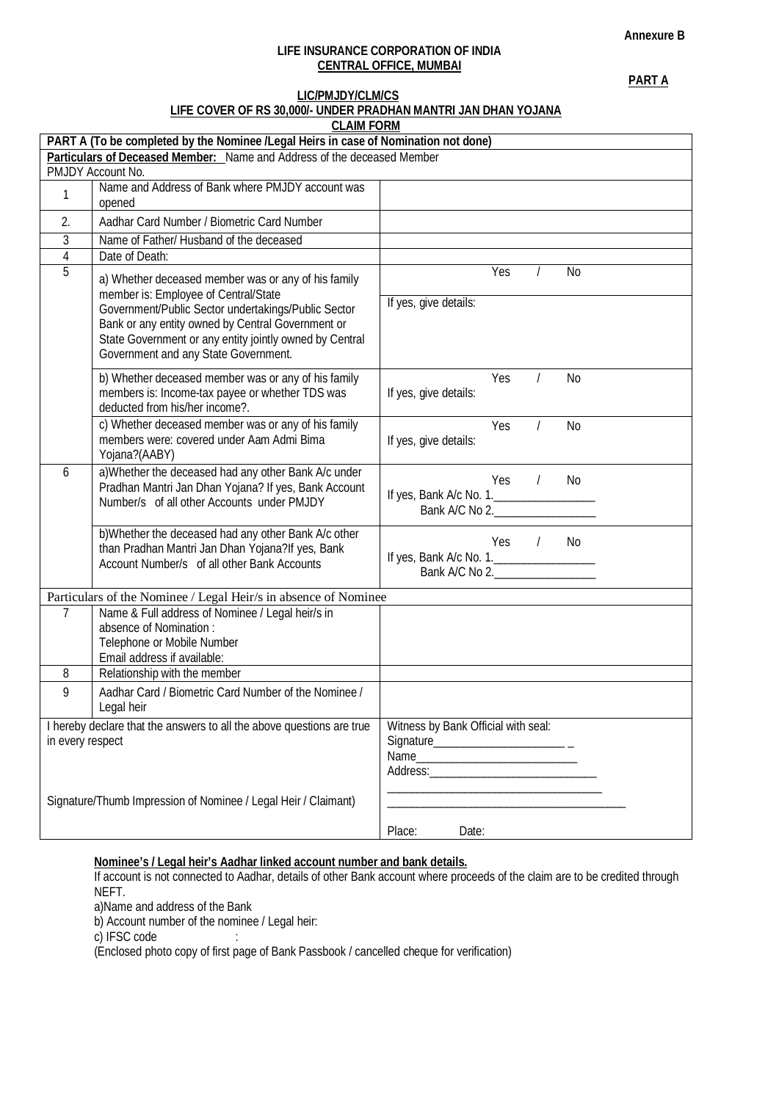#### **Annexure B**

## **LIFE INSURANCE CORPORATION OF INDIA CENTRAL OFFICE, MUMBAI**

**PART A**

## **LIC/PMJDY/CLM/CS LIFE COVER OF RS 30,000/- UNDER PRADHAN MANTRI JAN DHAN YOJANA**

| <b>CLAIM FORM</b>                                                                   |                                                                                                                                                                                                                                                                                                            |                                                                                |  |  |  |  |  |
|-------------------------------------------------------------------------------------|------------------------------------------------------------------------------------------------------------------------------------------------------------------------------------------------------------------------------------------------------------------------------------------------------------|--------------------------------------------------------------------------------|--|--|--|--|--|
| PART A (To be completed by the Nominee /Legal Heirs in case of Nomination not done) |                                                                                                                                                                                                                                                                                                            |                                                                                |  |  |  |  |  |
| Particulars of Deceased Member: Name and Address of the deceased Member             |                                                                                                                                                                                                                                                                                                            |                                                                                |  |  |  |  |  |
|                                                                                     | PMJDY Account No.                                                                                                                                                                                                                                                                                          |                                                                                |  |  |  |  |  |
| 1                                                                                   | Name and Address of Bank where PMJDY account was<br>opened                                                                                                                                                                                                                                                 |                                                                                |  |  |  |  |  |
| 2.                                                                                  | Aadhar Card Number / Biometric Card Number                                                                                                                                                                                                                                                                 |                                                                                |  |  |  |  |  |
| 3                                                                                   | Name of Father/ Husband of the deceased                                                                                                                                                                                                                                                                    |                                                                                |  |  |  |  |  |
| $\sqrt{4}$                                                                          | Date of Death:                                                                                                                                                                                                                                                                                             |                                                                                |  |  |  |  |  |
| $\overline{5}$                                                                      | a) Whether deceased member was or any of his family<br>member is: Employee of Central/State<br>Government/Public Sector undertakings/Public Sector<br>Bank or any entity owned by Central Government or<br>State Government or any entity jointly owned by Central<br>Government and any State Government. | Yes<br>No<br>If yes, give details:                                             |  |  |  |  |  |
|                                                                                     | b) Whether deceased member was or any of his family<br>members is: Income-tax payee or whether TDS was<br>deducted from his/her income?.                                                                                                                                                                   | Yes<br><b>No</b><br>If yes, give details:                                      |  |  |  |  |  |
|                                                                                     | c) Whether deceased member was or any of his family<br>members were: covered under Aam Admi Bima<br>Yojana?(AABY)                                                                                                                                                                                          | Yes<br><b>No</b><br>If yes, give details:                                      |  |  |  |  |  |
| 6                                                                                   | a) Whether the deceased had any other Bank A/c under<br>Pradhan Mantri Jan Dhan Yojana? If yes, Bank Account<br>Number/s of all other Accounts under PMJDY                                                                                                                                                 | Yes<br>N <sub>0</sub><br>$\prime$<br>If yes, Bank A/c No. 1.<br>Bank A/C No 2. |  |  |  |  |  |
|                                                                                     | b) Whether the deceased had any other Bank A/c other<br>than Pradhan Mantri Jan Dhan Yojana?If yes, Bank<br>Account Number/s of all other Bank Accounts                                                                                                                                                    | $Yes$ /<br>No<br>If yes, Bank A/c No. 1.<br>Bank A/C No 2.                     |  |  |  |  |  |
|                                                                                     | Particulars of the Nominee / Legal Heir/s in absence of Nominee                                                                                                                                                                                                                                            |                                                                                |  |  |  |  |  |
| 7                                                                                   | Name & Full address of Nominee / Legal heir/s in<br>absence of Nomination :<br>Telephone or Mobile Number<br>Email address if available:                                                                                                                                                                   |                                                                                |  |  |  |  |  |
| 8                                                                                   | Relationship with the member                                                                                                                                                                                                                                                                               |                                                                                |  |  |  |  |  |
| 9                                                                                   | Aadhar Card / Biometric Card Number of the Nominee /<br>Legal heir                                                                                                                                                                                                                                         |                                                                                |  |  |  |  |  |
| in every respect                                                                    | I hereby declare that the answers to all the above questions are true                                                                                                                                                                                                                                      | Witness by Bank Official with seal:                                            |  |  |  |  |  |
|                                                                                     | Signature/Thumb Impression of Nominee / Legal Heir / Claimant)                                                                                                                                                                                                                                             | Place:<br>Date:                                                                |  |  |  |  |  |

## **Nominee's / Legal heir's Aadhar linked account number and bank details.**

If account is not connected to Aadhar, details of other Bank account where proceeds of the claim are to be credited through NEFT.

a)Name and address of the Bank

b) Account number of the nominee / Legal heir:

c) IFSC code :

(Enclosed photo copy of first page of Bank Passbook / cancelled cheque for verification)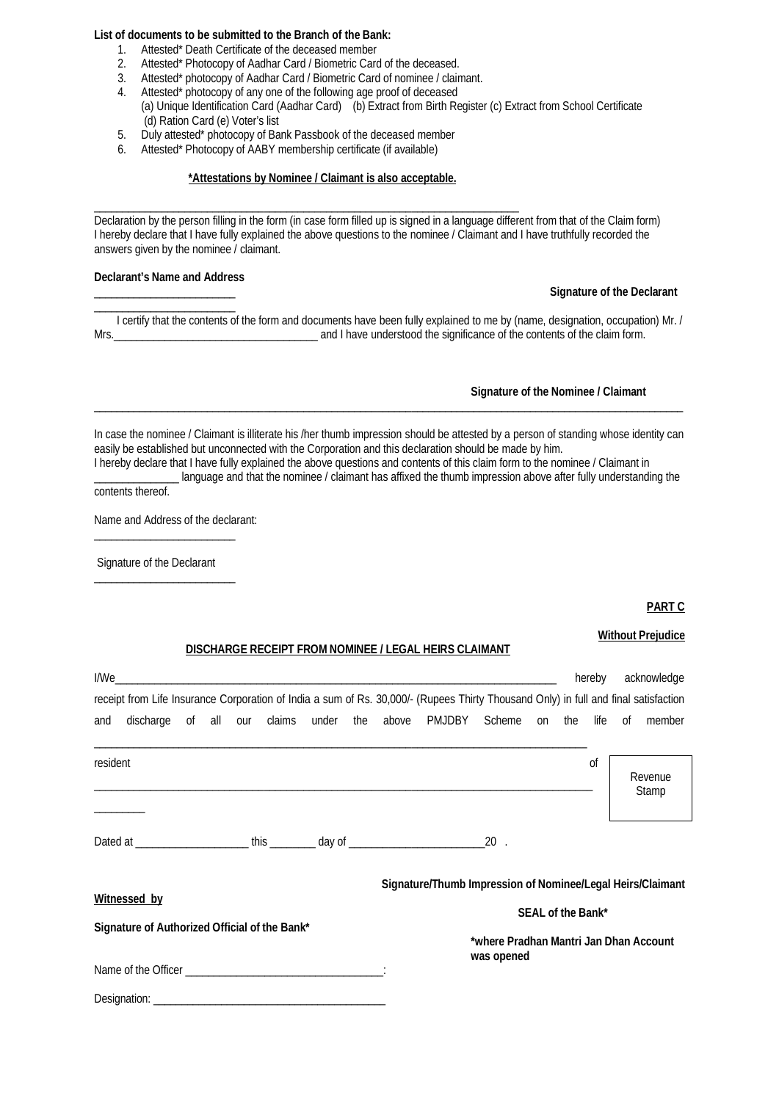#### **List of documents to be submitted to the Branch of the Bank:**

- 1. Attested\* Death Certificate of the deceased member
- 2. Attested\* Photocopy of Aadhar Card / Biometric Card of the deceased.
- 3. Attested\* photocopy of Aadhar Card / Biometric Card of nominee / claimant.
- 4. Attested\* photocopy of any one of the following age proof of deceased
- (a) Unique Identification Card (Aadhar Card) (b) Extract from Birth Register (c) Extract from School Certificate (d) Ration Card (e) Voter's list
- 5. Duly attested\* photocopy of Bank Passbook of the deceased member
- 6. Attested\* Photocopy of AABY membership certificate (if available)

#### **\*Attestations by Nominee / Claimant is also acceptable.**

\_\_\_\_\_\_\_\_\_\_\_\_\_\_\_\_\_\_\_\_\_\_\_\_\_\_\_\_\_\_\_\_\_\_\_\_\_\_\_\_\_\_\_\_\_\_\_\_\_\_\_\_\_\_\_\_\_\_\_\_\_\_\_\_\_\_\_\_\_\_\_\_\_\_\_ Declaration by the person filling in the form (in case form filled up is signed in a language different from that of the Claim form) I hereby declare that I have fully explained the above questions to the nominee / Claimant and I have truthfully recorded the answers given by the nominee / claimant.

#### **Declarant's Name and Address**

\_\_\_\_\_\_\_\_\_\_\_\_\_\_\_\_\_\_\_\_\_\_\_\_\_

#### \_\_\_\_\_\_\_\_\_\_\_\_\_\_\_\_\_\_\_\_\_\_\_\_\_ **Signature of the Declarant**

 I certify that the contents of the form and documents have been fully explained to me by (name, designation, occupation) Mr. / Mrs.\_\_\_\_\_\_\_\_\_\_\_\_\_\_\_\_\_\_\_\_\_\_\_\_\_\_\_\_\_\_\_\_\_\_\_\_ and I have understood the significance of the contents of the claim form.

#### **Signature of the Nominee / Claimant**

In case the nominee / Claimant is illiterate his /her thumb impression should be attested by a person of standing whose identity can easily be established but unconnected with the Corporation and this declaration should be made by him. I hereby declare that I have fully explained the above questions and contents of this claim form to the nominee / Claimant in

\_\_\_\_\_\_\_\_\_\_\_\_\_\_\_\_\_\_\_\_\_\_\_\_\_\_\_\_\_\_\_\_\_\_\_\_\_\_\_\_\_\_\_\_\_\_\_\_\_\_\_\_\_\_\_\_\_\_\_\_\_\_\_\_\_\_\_\_\_\_\_\_\_\_\_\_\_\_\_\_\_\_\_\_\_\_\_\_\_\_\_\_\_\_\_\_\_\_\_\_\_\_\_\_

\_\_\_\_\_\_\_\_\_\_\_\_\_\_\_ language and that the nominee / claimant has affixed the thumb impression above after fully understanding the contents thereof.

Name and Address of the declarant:

 $\overline{\phantom{a}}$  , where the contract of the contract of the contract of the contract of the contract of the contract of the contract of the contract of the contract of the contract of the contract of the contract of the contr

Signature of the Declarant \_\_\_\_\_\_\_\_\_\_\_\_\_\_\_\_\_\_\_\_\_\_\_\_\_

#### **PART C**

### **Without Prejudice**

#### **DISCHARGE RECEIPT FROM NOMINEE / LEGAL HEIRS CLAIMANT**

|                                               | I/We         |  |  |  |                                                             |            |                                                                                                                                     |  |    |  | hereby   |    | acknowledge      |  |
|-----------------------------------------------|--------------|--|--|--|-------------------------------------------------------------|------------|-------------------------------------------------------------------------------------------------------------------------------------|--|----|--|----------|----|------------------|--|
|                                               |              |  |  |  |                                                             |            | receipt from Life Insurance Corporation of India a sum of Rs. 30,000/- (Rupees Thirty Thousand Only) in full and final satisfaction |  |    |  |          |    |                  |  |
| and                                           | discharge    |  |  |  |                                                             |            | of all our claims under the above PMJDBY Scheme                                                                                     |  | on |  | the life | 0f | member           |  |
| resident                                      |              |  |  |  |                                                             |            |                                                                                                                                     |  |    |  | 0f       |    | Revenue<br>Stamp |  |
|                                               |              |  |  |  |                                                             |            |                                                                                                                                     |  |    |  |          |    |                  |  |
|                                               |              |  |  |  |                                                             |            |                                                                                                                                     |  |    |  |          |    |                  |  |
|                                               | Witnessed by |  |  |  |                                                             |            | Signature/Thumb Impression of Nominee/Legal Heirs/Claimant                                                                          |  |    |  |          |    |                  |  |
| Signature of Authorized Official of the Bank* |              |  |  |  | SEAL of the Bank*<br>*where Pradhan Mantri Jan Dhan Account |            |                                                                                                                                     |  |    |  |          |    |                  |  |
|                                               |              |  |  |  |                                                             | was opened |                                                                                                                                     |  |    |  |          |    |                  |  |
|                                               | Designation: |  |  |  |                                                             |            |                                                                                                                                     |  |    |  |          |    |                  |  |